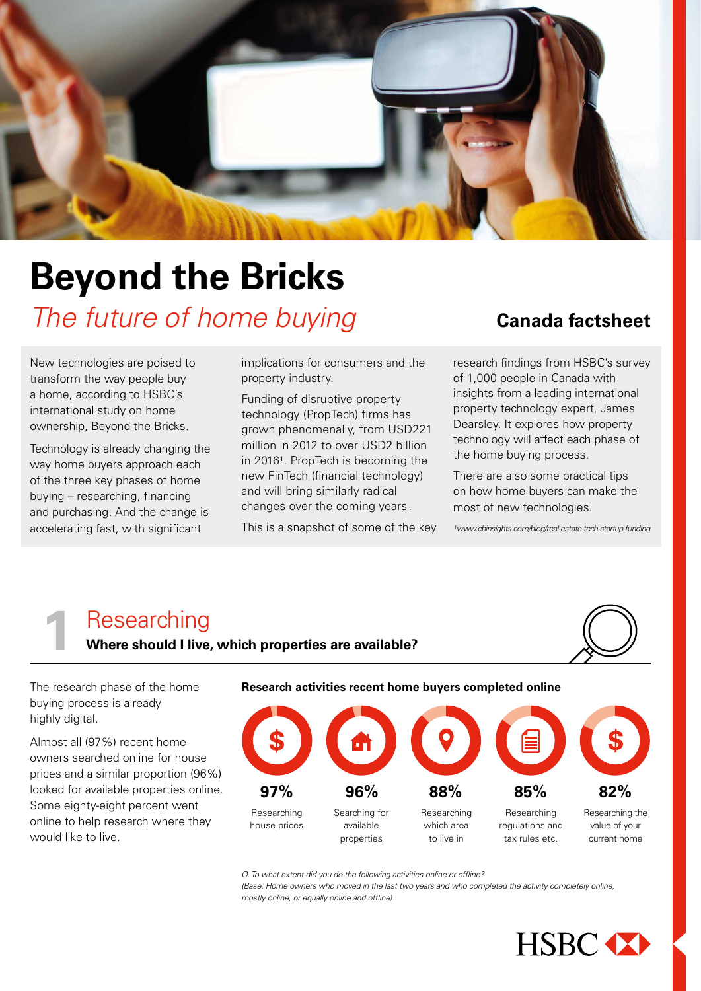

# **Beyond the Bricks**  *The future of home buying*

New technologies are poised to transform the way people buy a home, according to HSBC's international study on home ownership, Beyond the Bricks.

Technology is already changing the way home buyers approach each of the three key phases of home buying – researching, financing and purchasing. And the change is accelerating fast, with significant

implications for consumers and the property industry.

Funding of disruptive property technology (PropTech) firms has grown phenomenally, from USD221 million in 2012 to over USD2 billion in 2016<sup>1</sup>. PropTech is becoming the new FinTech (financial technology) and will bring similarly radical changes over the coming years.

This is a snapshot of some of the key

## **Canada factsheet**

research findings from HSBC's survey of 1,000 people in Canada with insights from a leading international property technology expert, James Dearsley. It explores how property technology will affect each phase of the home buying process.

There are also some practical tips on how home buyers can make the most of new technologies.

*¹www.cbinsights.com/blog/real-estate-tech-startup-funding*

**Researching**<br>**11 Where should I live, which properties are available?** 



The research phase of the home buying process is already highly digital.

Almost all (97%) recent home owners searched online for house prices and a similar proportion (96%) looked for available properties online. Some eighty-eight percent went online to help research where they would like to live.

## **Research activities recent home buyers completed online**



*Q. To what extent did you do the following activities online or offline?* 

*(Base: Home owners who moved in the last two years and who completed the activity completely online, mostly online, or equally online and offline)*

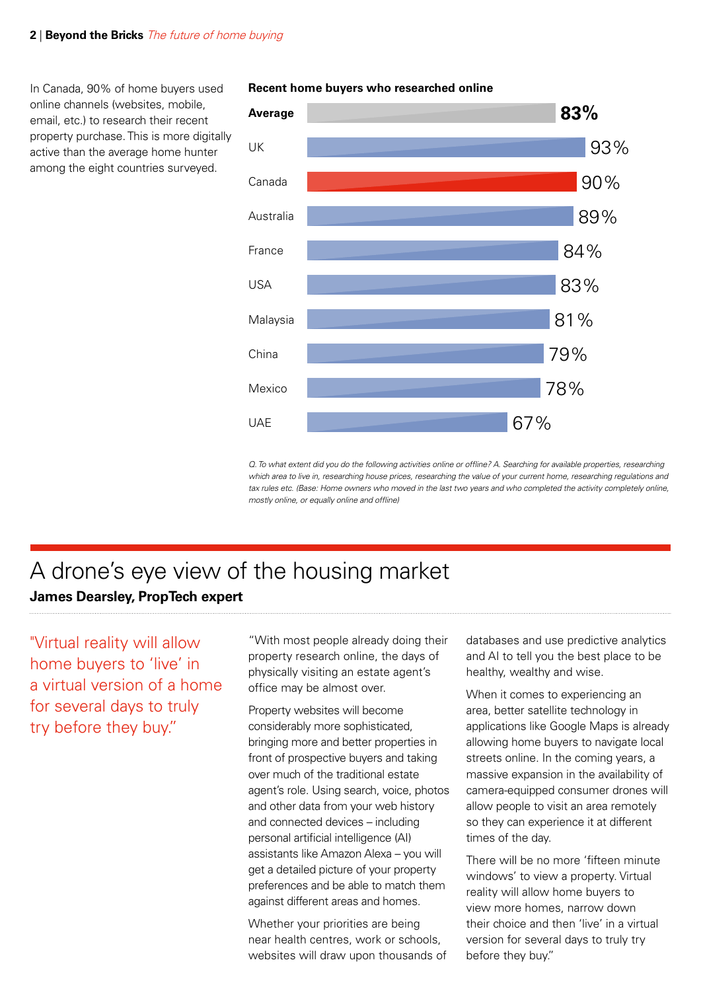### **2** | **Beyond the Bricks** The future of home buying

In Canada, 90% of home buyers used online channels (websites, mobile, email, etc.) to research their recent property purchase. This is more digitally active than the average home hunter among the eight countries surveyed.



**Recent home buyers who researched online**

*Q. To what extent did you do the following activities online or offline? A. Searching for available properties, researching which area to live in, researching house prices, researching the value of your current home, researching regulations and*  tax rules etc. (Base: Home owners who moved in the last two years and who completed the activity completely online, *mostly online, or equally online and offline)*

## **James Dearsley, PropTech expert** A drone's eye view of the housing market

"Virtual reality will allow home buyers to 'live' in a virtual version of a home for several days to truly try before they buy."

"With most people already doing their property research online, the days of physically visiting an estate agent's office may be almost over.

Property websites will become considerably more sophisticated, bringing more and better properties in front of prospective buyers and taking over much of the traditional estate agent's role. Using search, voice, photos and other data from your web history and connected devices – including personal artificial intelligence (AI) assistants like Amazon Alexa – you will get a detailed picture of your property preferences and be able to match them against different areas and homes.

Whether your priorities are being near health centres, work or schools, websites will draw upon thousands of databases and use predictive analytics and AI to tell you the best place to be healthy, wealthy and wise.

When it comes to experiencing an area, better satellite technology in applications like Google Maps is already allowing home buyers to navigate local streets online. In the coming years, a massive expansion in the availability of camera-equipped consumer drones will allow people to visit an area remotely so they can experience it at different times of the day.

There will be no more 'fifteen minute windows' to view a property. Virtual reality will allow home buyers to view more homes, narrow down their choice and then 'live' in a virtual version for several days to truly try before they buy."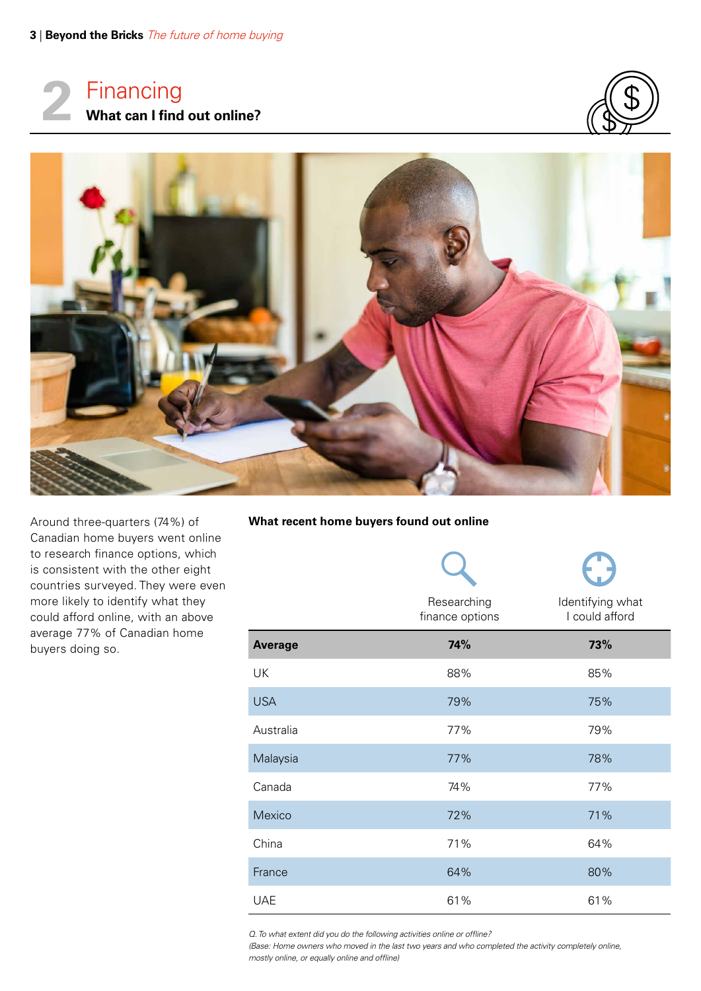Financing **2 What can I find out online?**





Around three-quarters (74%) of Canadian home buyers went online to research finance options, which is consistent with the other eight countries surveyed. They were even more likely to identify what they could afford online, with an above average 77% of Canadian home buyers doing so.

## **What recent home buyers found out online**

|                | Researching<br>finance options | Identifying what<br>I could afford |
|----------------|--------------------------------|------------------------------------|
| <b>Average</b> | 74%                            | 73%                                |
| UK             | 88%                            | 85%                                |
| <b>USA</b>     | 79%                            | 75%                                |
| Australia      | 77%                            | 79%                                |
| Malaysia       | 77%                            | 78%                                |
| Canada         | 74%                            | 77%                                |
| Mexico         | 72%                            | 71%                                |
| China          | 71%                            | 64%                                |
| France         | 64%                            | 80%                                |
| <b>UAE</b>     | 61%                            | 61%                                |

*Q. To what extent did you do the following activities online or offline?* 

*(Base: Home owners who moved in the last two years and who completed the activity completely online, mostly online, or equally online and offline)*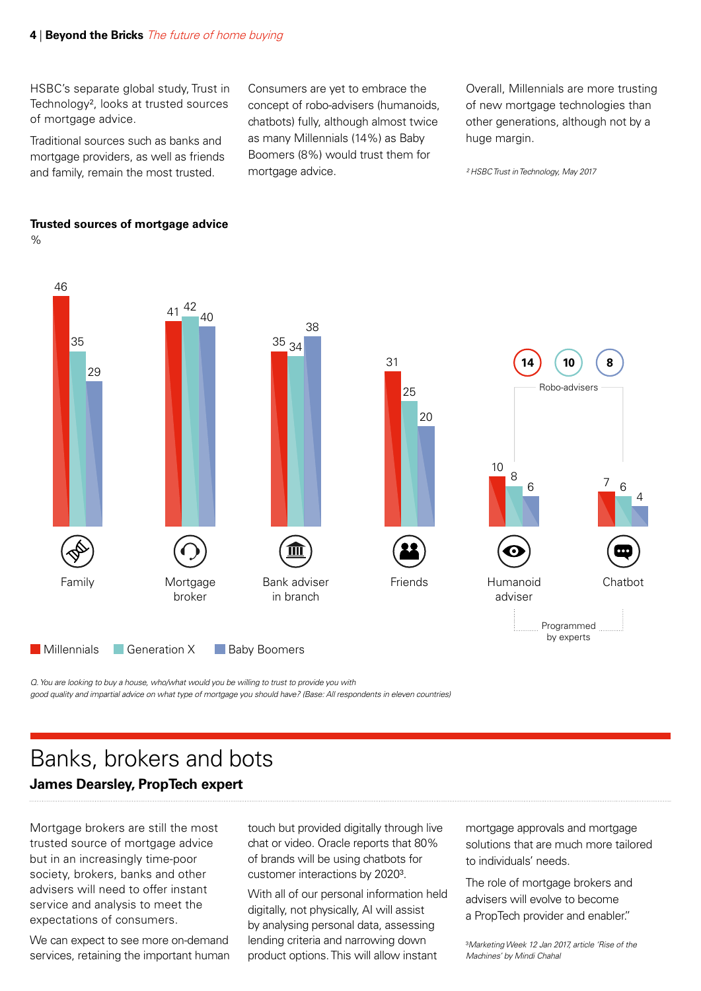HSBC's separate global study, Trust in Technology², looks at trusted sources of mortgage advice.

Traditional sources such as banks and mortgage providers, as well as friends and family, remain the most trusted.

Consumers are yet to embrace the concept of robo-advisers (humanoids, chatbots) fully, although almost twice as many Millennials (14%) as Baby Boomers (8%) would trust them for mortgage advice.

Overall, Millennials are more trusting of new mortgage technologies than other generations, although not by a huge margin.

*² HSBC Trust in Technology, May 2017*



**Trusted sources of mortgage advice**

%

*Q. You are looking to buy a house, who/what would you be willing to trust to provide you with good quality and impartial advice on what type of mortgage you should have? (Base: All respondents in eleven countries)*

## **James Dearsley, PropTech expert** Banks, brokers and bots

Mortgage brokers are still the most trusted source of mortgage advice but in an increasingly time-poor society, brokers, banks and other advisers will need to offer instant service and analysis to meet the expectations of consumers.

We can expect to see more on-demand services, retaining the important human touch but provided digitally through live chat or video. Oracle reports that 80% of brands will be using chatbots for customer interactions by 2020³.

With all of our personal information held digitally, not physically, AI will assist by analysing personal data, assessing lending criteria and narrowing down product options. This will allow instant

mortgage approvals and mortgage solutions that are much more tailored to individuals' needs.

The role of mortgage brokers and advisers will evolve to become a PropTech provider and enabler."

³*Marketing Week 12 Jan 2017, article 'Rise of the Machines' by Mindi Chahal*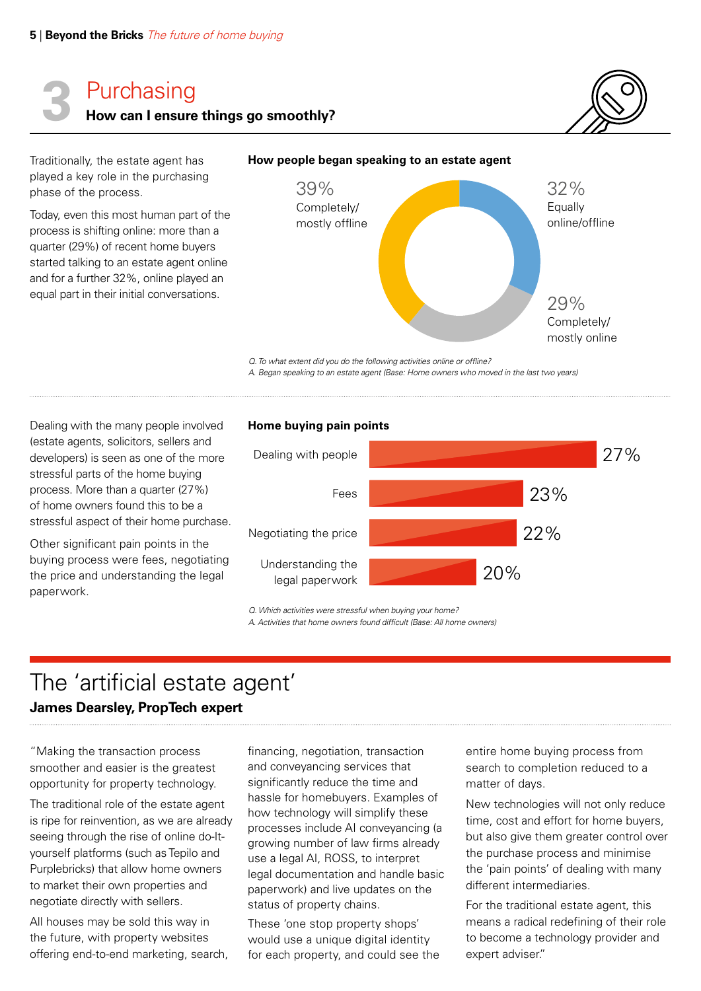# Purchasing **3 How can I ensure things go smoothly?**

Traditionally, the estate agent has played a key role in the purchasing phase of the process.

Today, even this most human part of the process is shifting online: more than a quarter (29%) of recent home buyers started talking to an estate agent online and for a further 32%, online played an equal part in their initial conversations.





*Q. To what extent did you do the following activities online or offline? A. Began speaking to an estate agent (Base: Home owners who moved in the last two years)*

Dealing with the many people involved (estate agents, solicitors, sellers and developers) is seen as one of the more stressful parts of the home buying process. More than a quarter (27%) of home owners found this to be a stressful aspect of their home purchase.

Other significant pain points in the buying process were fees, negotiating the price and understanding the legal paperwork.

## **Home buying pain points**



*Q. Which activities were stressful when buying your home? A. Activities that home owners found difficult (Base: All home owners)*

## The 'artificial estate agent'

## **James Dearsley, PropTech expert**

"Making the transaction process smoother and easier is the greatest opportunity for property technology.

The traditional role of the estate agent is ripe for reinvention, as we are already seeing through the rise of online do-Ityourself platforms (such as Tepilo and Purplebricks) that allow home owners to market their own properties and negotiate directly with sellers.

All houses may be sold this way in the future, with property websites offering end-to-end marketing, search, financing, negotiation, transaction and conveyancing services that significantly reduce the time and hassle for homebuyers. Examples of how technology will simplify these processes include AI conveyancing (a growing number of law firms already use a legal AI, ROSS, to interpret legal documentation and handle basic paperwork) and live updates on the status of property chains.

These 'one stop property shops' would use a unique digital identity for each property, and could see the entire home buying process from search to completion reduced to a matter of days.

New technologies will not only reduce time, cost and effort for home buyers, but also give them greater control over the purchase process and minimise the 'pain points' of dealing with many different intermediaries.

For the traditional estate agent, this means a radical redefining of their role to become a technology provider and expert adviser."